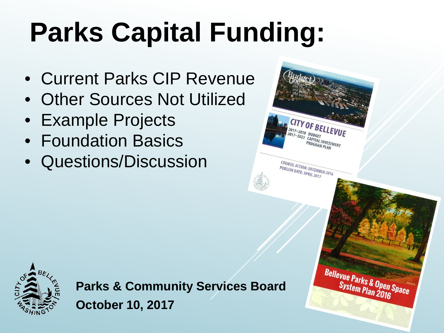# **Parks Capital Funding:**

- Current Parks CIP Revenue
- Other Sources Not Utilized
- Example Projects
- Foundation Basics
- Questions/Discussion



**Parks & Community Services Board October 10, 2017**

Bellevue Parks & Open Space **System Plan 2016** 

**CITY OF BELLEVUE** 

**2017-2018 BUDGET<br>2017-2023 CAPITAL INVESTMENT<br>PROGRAM PLAN** 

COUNCIL ACTION: DECEMBER 2016<br>PUBLISH DATE: APRIL 2017 PUBLISH DATE: APRIL 2017

 $\frac{2017 - 2018}{2012 - 2018}$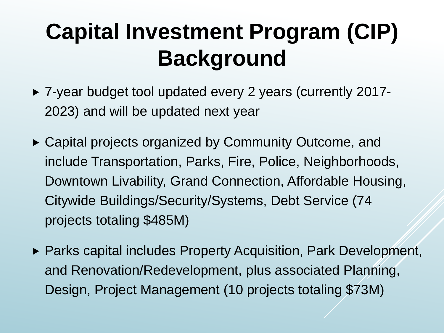### **Capital Investment Program (CIP) Background**

- ▶ 7-year budget tool updated every 2 years (currently 2017-2023) and will be updated next year
- ▶ Capital projects organized by Community Outcome, and include Transportation, Parks, Fire, Police, Neighborhoods, Downtown Livability, Grand Connection, Affordable Housing, Citywide Buildings/Security/Systems, Debt Service (74 projects totaling \$485M)
- ▶ Parks capital includes Property Acquisition, Park Development, and Renovation/Redevelopment, plus associated Planning, Design, Project Management (10 projects totaling \$73M)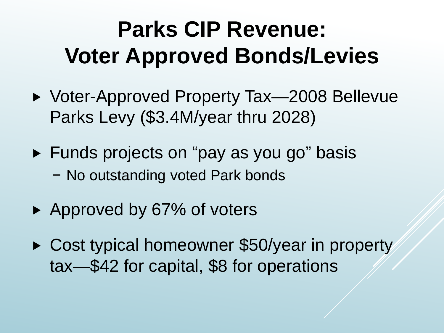### **Parks CIP Revenue: Voter Approved Bonds/Levies**

- ▶ Voter-Approved Property Tax—2008 Bellevue Parks Levy (\$3.4M/year thru 2028)
- ► Funds projects on "pay as you go" basis − No outstanding voted Park bonds
- ▶ Approved by 67% of voters
- ▶ Cost typical homeowner \$50/year in property tax—\$42 for capital, \$8 for operations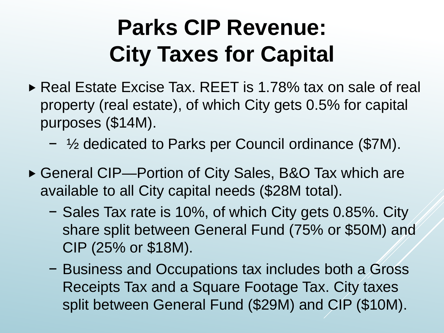### **Parks CIP Revenue: City Taxes for Capital**

- ► Real Estate Excise Tax. REET is 1.78% tax on sale of real property (real estate), of which City gets 0.5% for capital purposes (\$14M).
	- − ½ dedicated to Parks per Council ordinance (\$7M).
- ▶ General CIP—Portion of City Sales, B&O Tax which are available to all City capital needs (\$28M total).
	- − Sales Tax rate is 10%, of which City gets 0.85%. City share split between General Fund (75% or \$50M) and CIP (25% or \$18M).
	- − Business and Occupations tax includes both a Gross Receipts Tax and a Square Footage Tax. City taxes split between General Fund (\$29M) and CIP (\$10M).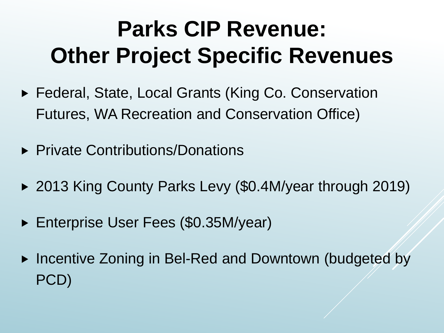### **Parks CIP Revenue: Other Project Specific Revenues**

- ▶ Federal, State, Local Grants (King Co. Conservation Futures, WA Recreation and Conservation Office)
- ▶ Private Contributions/Donations
- ▶ 2013 King County Parks Levy (\$0.4M/year through 2019)
- ► Enterprise User Fees (\$0.35M/year)
- ► Incentive Zoning in Bel-Red and Downtown (budgeted by PCD)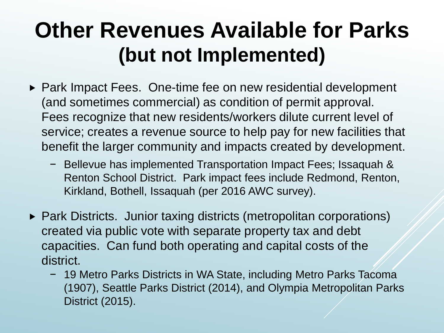### **Other Revenues Available for Parks (but not Implemented)**

- ▶ Park Impact Fees. One-time fee on new residential development (and sometimes commercial) as condition of permit approval. Fees recognize that new residents/workers dilute current level of service; creates a revenue source to help pay for new facilities that benefit the larger community and impacts created by development.
	- − Bellevue has implemented Transportation Impact Fees; Issaquah & Renton School District. Park impact fees include Redmond, Renton, Kirkland, Bothell, Issaquah (per 2016 AWC survey).
- ▶ Park Districts. Junior taxing districts (metropolitan corporations) created via public vote with separate property tax and debt capacities. Can fund both operating and capital costs of the district.
	- − 19 Metro Parks Districts in WA State, including Metro Parks Tacoma (1907), Seattle Parks District (2014), and Olympia Metropolitan Parks District (2015).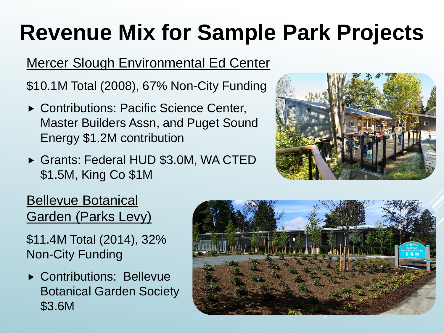## **Revenue Mix for Sample Park Projects**

#### Mercer Slough Environmental Ed Center

\$10.1M Total (2008), 67% Non-City Funding

- ▶ Contributions: Pacific Science Center, Master Builders Assn, and Puget Sound Energy \$1.2M contribution
- Grants: Federal HUD \$3.0M, WA CTED \$1.5M, King Co \$1M



#### Bellevue Botanical Garden (Parks Levy)

\$11.4M Total (2014), 32% Non-City Funding

▶ Contributions: Bellevue Botanical Garden Society \$3.6M

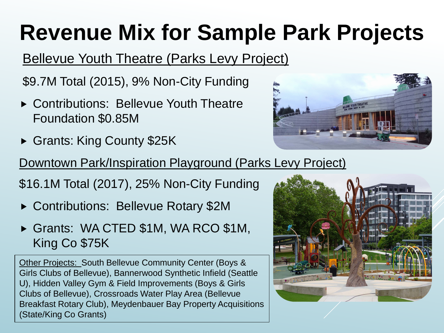## **Revenue Mix for Sample Park Projects**

#### Bellevue Youth Theatre (Parks Levy Project)

\$9.7M Total (2015), 9% Non-City Funding

- ▶ Contributions: Bellevue Youth Theatre Foundation \$0.85M
- Grants: King County \$25K



Downtown Park/Inspiration Playground (Parks Levy Project)

\$16.1M Total (2017), 25% Non-City Funding

- ▶ Contributions: Bellevue Rotary \$2M
- Grants: WA CTED \$1M, WA RCO \$1M, King Co \$75K

Other Projects: South Bellevue Community Center (Boys & Girls Clubs of Bellevue), Bannerwood Synthetic Infield (Seattle U), Hidden Valley Gym & Field Improvements (Boys & Girls Clubs of Bellevue), Crossroads Water Play Area (Bellevue Breakfast Rotary Club), Meydenbauer Bay Property Acquisitions (State/King Co Grants)

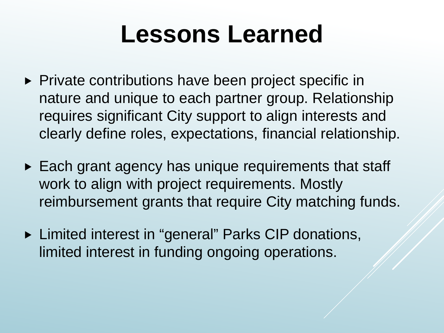### **Lessons Learned**

- ▶ Private contributions have been project specific in nature and unique to each partner group. Relationship requires significant City support to align interests and clearly define roles, expectations, financial relationship.
- ► Each grant agency has unique requirements that staff work to align with project requirements. Mostly reimbursement grants that require City matching funds.
- ▶ Limited interest in "general" Parks CIP donations, limited interest in funding ongoing operations.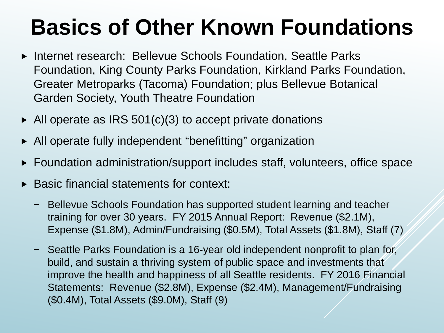### **Basics of Other Known Foundations**

- ▶ Internet research: Bellevue Schools Foundation, Seattle Parks Foundation, King County Parks Foundation, Kirkland Parks Foundation, Greater Metroparks (Tacoma) Foundation; plus Bellevue Botanical Garden Society, Youth Theatre Foundation
- $\blacktriangleright$  All operate as IRS 501(c)(3) to accept private donations
- All operate fully independent "benefitting" organization
- ► Foundation administration/support includes staff, volunteers, office space
- Basic financial statements for context:
	- Bellevue Schools Foundation has supported student learning and teacher training for over 30 years. FY 2015 Annual Report: Revenue (\$2.1M), Expense (\$1.8M), Admin/Fundraising (\$0.5M), Total Assets (\$1.8M), Staff (7)
	- Seattle Parks Foundation is a 16-year old independent nonprofit to plan for, build, and sustain a thriving system of public space and investments that improve the health and happiness of all Seattle residents. FY 2016 Financial Statements: Revenue (\$2.8M), Expense (\$2.4M), Management/Fundraising (\$0.4M), Total Assets (\$9.0M), Staff (9)